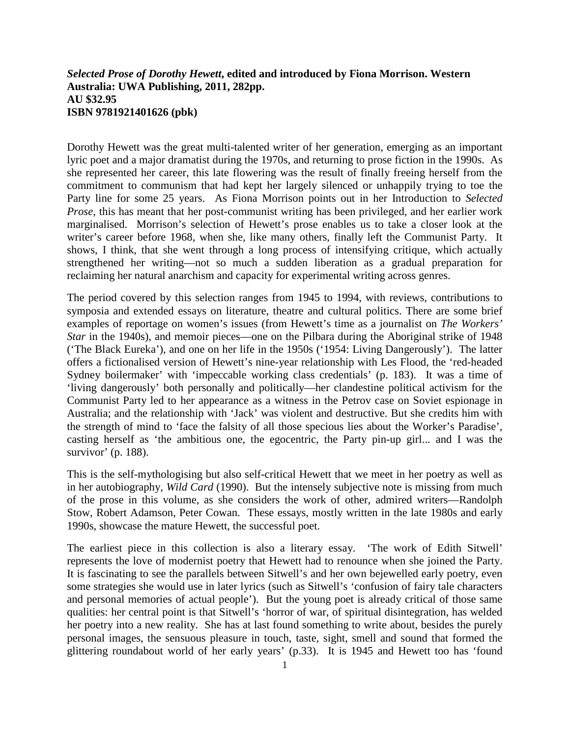## *Selected Prose of Dorothy Hewett***, edited and introduced by Fiona Morrison. Western Australia: UWA Publishing, 2011, 282pp. AU \$32.95 ISBN 9781921401626 (pbk)**

Dorothy Hewett was the great multi-talented writer of her generation, emerging as an important lyric poet and a major dramatist during the 1970s, and returning to prose fiction in the 1990s. As she represented her career, this late flowering was the result of finally freeing herself from the commitment to communism that had kept her largely silenced or unhappily trying to toe the Party line for some 25 years. As Fiona Morrison points out in her Introduction to *Selected Prose*, this has meant that her post-communist writing has been privileged, and her earlier work marginalised. Morrison's selection of Hewett's prose enables us to take a closer look at the writer's career before 1968, when she, like many others, finally left the Communist Party. It shows, I think, that she went through a long process of intensifying critique, which actually strengthened her writing—not so much a sudden liberation as a gradual preparation for reclaiming her natural anarchism and capacity for experimental writing across genres.

The period covered by this selection ranges from 1945 to 1994, with reviews, contributions to symposia and extended essays on literature, theatre and cultural politics. There are some brief examples of reportage on women's issues (from Hewett's time as a journalist on *The Workers' Star* in the 1940s), and memoir pieces—one on the Pilbara during the Aboriginal strike of 1948 ('The Black Eureka'), and one on her life in the 1950s ('1954: Living Dangerously'). The latter offers a fictionalised version of Hewett's nine-year relationship with Les Flood, the 'red-headed Sydney boilermaker' with 'impeccable working class credentials' (p. 183). It was a time of 'living dangerously' both personally and politically—her clandestine political activism for the Communist Party led to her appearance as a witness in the Petrov case on Soviet espionage in Australia; and the relationship with 'Jack' was violent and destructive. But she credits him with the strength of mind to 'face the falsity of all those specious lies about the Worker's Paradise', casting herself as 'the ambitious one, the egocentric, the Party pin-up girl... and I was the survivor' (p. 188).

This is the self-mythologising but also self-critical Hewett that we meet in her poetry as well as in her autobiography, *Wild Card* (1990). But the intensely subjective note is missing from much of the prose in this volume, as she considers the work of other, admired writers—Randolph Stow, Robert Adamson, Peter Cowan. These essays, mostly written in the late 1980s and early 1990s, showcase the mature Hewett, the successful poet.

The earliest piece in this collection is also a literary essay. 'The work of Edith Sitwell' represents the love of modernist poetry that Hewett had to renounce when she joined the Party. It is fascinating to see the parallels between Sitwell's and her own bejewelled early poetry, even some strategies she would use in later lyrics (such as Sitwell's 'confusion of fairy tale characters and personal memories of actual people'). But the young poet is already critical of those same qualities: her central point is that Sitwell's 'horror of war, of spiritual disintegration, has welded her poetry into a new reality. She has at last found something to write about, besides the purely personal images, the sensuous pleasure in touch, taste, sight, smell and sound that formed the glittering roundabout world of her early years' (p.33). It is 1945 and Hewett too has 'found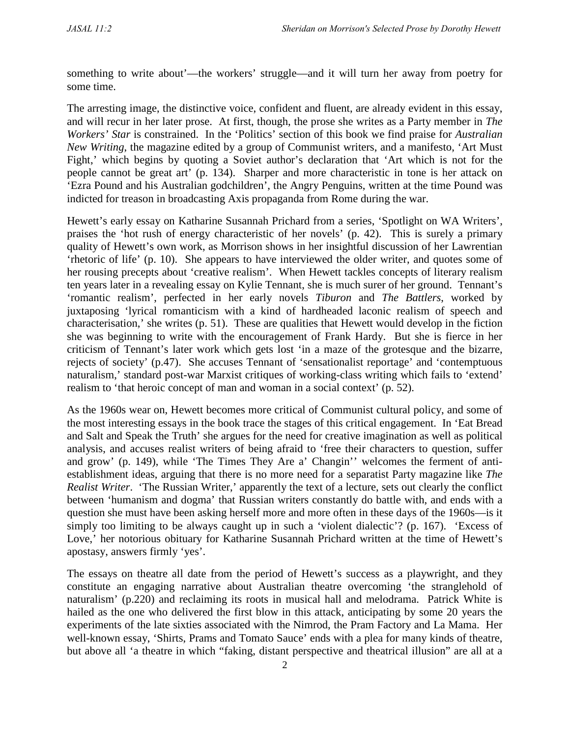something to write about'—the workers' struggle—and it will turn her away from poetry for some time.

The arresting image, the distinctive voice, confident and fluent, are already evident in this essay, and will recur in her later prose. At first, though, the prose she writes as a Party member in *The Workers' Star* is constrained. In the 'Politics' section of this book we find praise for *Australian New Writing*, the magazine edited by a group of Communist writers, and a manifesto, 'Art Must Fight,' which begins by quoting a Soviet author's declaration that 'Art which is not for the people cannot be great art' (p. 134). Sharper and more characteristic in tone is her attack on 'Ezra Pound and his Australian godchildren', the Angry Penguins, written at the time Pound was indicted for treason in broadcasting Axis propaganda from Rome during the war.

Hewett's early essay on Katharine Susannah Prichard from a series, 'Spotlight on WA Writers', praises the 'hot rush of energy characteristic of her novels' (p. 42). This is surely a primary quality of Hewett's own work, as Morrison shows in her insightful discussion of her Lawrentian 'rhetoric of life' (p. 10). She appears to have interviewed the older writer, and quotes some of her rousing precepts about 'creative realism'. When Hewett tackles concepts of literary realism ten years later in a revealing essay on Kylie Tennant, she is much surer of her ground. Tennant's 'romantic realism', perfected in her early novels *Tiburon* and *The Battlers*, worked by juxtaposing 'lyrical romanticism with a kind of hardheaded laconic realism of speech and characterisation,' she writes (p. 51). These are qualities that Hewett would develop in the fiction she was beginning to write with the encouragement of Frank Hardy. But she is fierce in her criticism of Tennant's later work which gets lost 'in a maze of the grotesque and the bizarre, rejects of society' (p.47). She accuses Tennant of 'sensationalist reportage' and 'contemptuous naturalism,' standard post-war Marxist critiques of working-class writing which fails to 'extend' realism to 'that heroic concept of man and woman in a social context' (p. 52).

As the 1960s wear on, Hewett becomes more critical of Communist cultural policy, and some of the most interesting essays in the book trace the stages of this critical engagement. In 'Eat Bread and Salt and Speak the Truth' she argues for the need for creative imagination as well as political analysis, and accuses realist writers of being afraid to 'free their characters to question, suffer and grow' (p. 149), while 'The Times They Are a' Changin'' welcomes the ferment of antiestablishment ideas, arguing that there is no more need for a separatist Party magazine like *The Realist Writer*. 'The Russian Writer,' apparently the text of a lecture, sets out clearly the conflict between 'humanism and dogma' that Russian writers constantly do battle with, and ends with a question she must have been asking herself more and more often in these days of the 1960s—is it simply too limiting to be always caught up in such a 'violent dialectic'? (p. 167). 'Excess of Love,' her notorious obituary for Katharine Susannah Prichard written at the time of Hewett's apostasy, answers firmly 'yes'.

The essays on theatre all date from the period of Hewett's success as a playwright, and they constitute an engaging narrative about Australian theatre overcoming 'the stranglehold of naturalism' (p.220) and reclaiming its roots in musical hall and melodrama. Patrick White is hailed as the one who delivered the first blow in this attack, anticipating by some 20 years the experiments of the late sixties associated with the Nimrod, the Pram Factory and La Mama. Her well-known essay, 'Shirts, Prams and Tomato Sauce' ends with a plea for many kinds of theatre, but above all 'a theatre in which "faking, distant perspective and theatrical illusion" are all at a